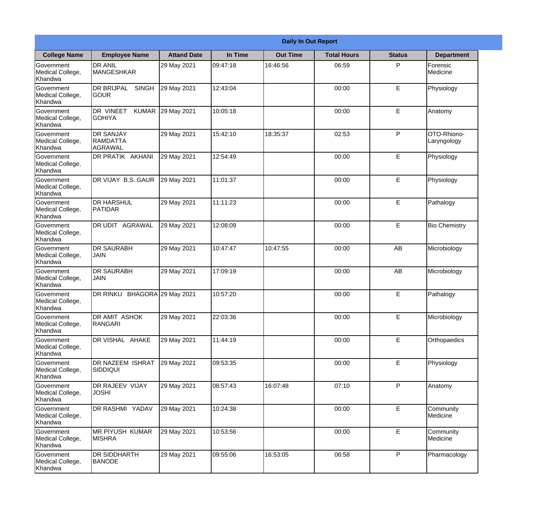|                                                  | <b>Daily In Out Report</b>                            |                     |          |                 |                    |               |                            |  |
|--------------------------------------------------|-------------------------------------------------------|---------------------|----------|-----------------|--------------------|---------------|----------------------------|--|
| <b>College Name</b>                              | <b>Employee Name</b>                                  | <b>Attand Date</b>  | In Time  | <b>Out Time</b> | <b>Total Hours</b> | <b>Status</b> | <b>Department</b>          |  |
| Government<br>Medical College,<br>Khandwa        | <b>DR ANIL</b><br><b>MANGESHKAR</b>                   | 29 May 2021         | 09:47:18 | 16:46:56        | 06:59              | P             | Forensic<br>Medicine       |  |
| Government<br>Medical College,<br>Khandwa        | <b>DR BRIJPAL</b><br><b>SINGH</b><br> GOUR            | 29 May 2021         | 12:43:04 |                 | 00:00              | E             | Physiology                 |  |
| <b>Government</b><br>Medical College,<br>Khandwa | DR VINEET<br><b>KUMAR</b><br><b>I</b> GOHIYA          | 29 May 2021         | 10:05:18 |                 | 00:00              | E             | Anatomy                    |  |
| Government<br>Medical College,<br>Khandwa        | <b>DR SANJAY</b><br><b>RAMDATTA</b><br><b>AGRAWAL</b> | 29 May 2021         | 15:42:10 | 18:35:37        | 02:53              | P             | OTO-Rhiono-<br>Laryngology |  |
| Government<br>Medical College,<br>Khandwa        | DR PRATIK AKHANI                                      | 29 May 2021         | 12:54:49 |                 | 00:00              | E             | Physiology                 |  |
| Government<br>Medical College,<br>Khandwa        | DR VIJAY B.S. GAUR                                    | 29 May 2021         | 11:01:37 |                 | 00:00              | E             | Physiology                 |  |
| Government<br>Medical College,<br>Khandwa        | <b>I</b> DR HARSHUL<br><b>PATIDAR</b>                 | 29 May 2021         | 11:11:23 |                 | 00:00              | E             | Pathalogy                  |  |
| Government<br>Medical College,<br>Khandwa        | <b>DR UDIT AGRAWAL</b>                                | 29 May 2021         | 12:08:09 |                 | 00:00              | E             | <b>Bio Chemistry</b>       |  |
| Government<br>Medical College,<br>Khandwa        | <b>DR SAURABH</b><br><b>JAIN</b>                      | 29 May 2021         | 10:47:47 | 10:47:55        | 00:00              | AB            | Microbiology               |  |
| Government<br>Medical College,<br>Khandwa        | <b>DR SAURABH</b><br><b>JAIN</b>                      | 29 May 2021         | 17:09:19 |                 | 00:00              | AB            | Microbiology               |  |
| Government<br>Medical College,<br>Khandwa        | DR RINKU                                              | BHAGORA 29 May 2021 | 10:57:20 |                 | 00:00              | E             | Pathalogy                  |  |
| Government<br>Medical College,<br>Khandwa        | <b>DR AMIT ASHOK</b><br>RANGARI                       | 29 May 2021         | 22:03:36 |                 | 00:00              | E             | Microbiology               |  |
| Government<br>Medical College,<br>Khandwa        | DR VISHAL AHAKE                                       | 29 May 2021         | 11:44:19 |                 | 00:00              | E             | Orthopaedics               |  |
| Government<br>Medical College,<br>Khandwa        | <b>DR NAZEEM ISHRAT</b><br>SIDDIQUI                   | 29 May 2021         | 09:53:35 |                 | 00:00              | E             | Physiology                 |  |
| Government<br>Medical College,<br>Khandwa        | <b>DR RAJEEV VIJAY</b><br><b>JOSHI</b>                | 29 May 2021         | 08:57:43 | 16:07:48        | 07:10              | $\mathsf{P}$  | Anatomy                    |  |
| Government<br>Medical College,<br>Khandwa        | DR RASHMI YADAV                                       | 29 May 2021         | 10:24:38 |                 | 00:00              | E             | Community<br>Medicine      |  |
| Government<br>Medical College,<br>Khandwa        | <b>MR PIYUSH KUMAR</b><br><b>MISHRA</b>               | 29 May 2021         | 10:53:56 |                 | 00:00              | E             | Community<br>Medicine      |  |
| Government<br>Medical College,<br>Khandwa        | <b>DR SIDDHARTH</b><br><b>BANODE</b>                  | 29 May 2021         | 09:55:06 | 16:53:05        | 06:58              | P             | Pharmacology               |  |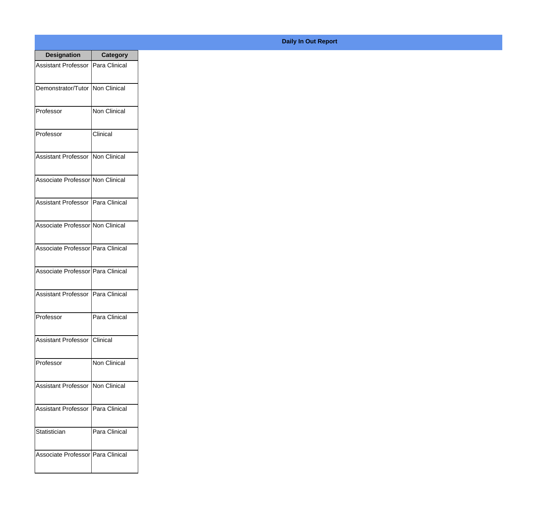| <b>Designation</b>                  | <b>Category</b> |
|-------------------------------------|-----------------|
| Assistant Professor   Para Clinical |                 |
| Demonstrator/Tutor                  | Non Clinical    |
| Professor                           | Non Clinical    |
| Professor                           | Clinical        |
| Assistant Professor   Non Clinical  |                 |
| Associate Professor Non Clinical    |                 |
| Assistant Professor   Para Clinical |                 |
| Associate Professor Non Clinical    |                 |
| Associate Professor Para Clinical   |                 |
| Associate Professor Para Clinical   |                 |
| Assistant Professor                 | Para Clinical   |
| Professor                           | Para Clinical   |
| <b>Assistant Professor</b>          | <b>Clinical</b> |
| Professor                           | Non Clinical    |
| <b>Assistant Professor</b>          | Non Clinical    |
| <b>Assistant Professor</b>          | Para Clinical   |
| Statistician                        | Para Clinical   |
| Associate Professor Para Clinical   |                 |

## **Daily In Out Report**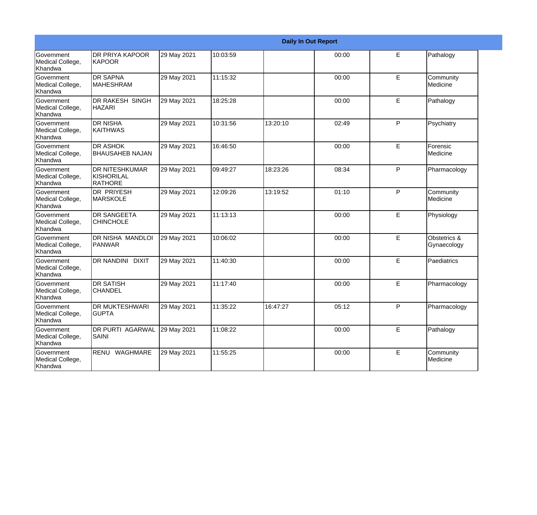|                                                         |                                                       |             |          |          | <b>Daily In Out Report</b> |   |                             |
|---------------------------------------------------------|-------------------------------------------------------|-------------|----------|----------|----------------------------|---|-----------------------------|
| Government<br>Medical College,<br>Khandwa               | <b>DR PRIYA KAPOOR</b><br><b>KAPOOR</b>               | 29 May 2021 | 10:03:59 |          | 00:00                      | E | Pathalogy                   |
| <b>Government</b><br>Medical College,<br>Khandwa        | <b>IDR SAPNA</b><br><b>MAHESHRAM</b>                  | 29 May 2021 | 11:15:32 |          | 00:00                      | E | Community<br>Medicine       |
| <b>Government</b><br>Medical College,<br>Khandwa        | <b>DR RAKESH SINGH</b><br><b>HAZARI</b>               | 29 May 2021 | 18:25:28 |          | 00:00                      | E | Pathalogy                   |
| <b>Government</b><br>Medical College,<br>Khandwa        | <b>DR NISHA</b><br><b>KAITHWAS</b>                    | 29 May 2021 | 10:31:56 | 13:20:10 | 02:49                      | P | Psychiatry                  |
| Government<br>Medical College,<br>Khandwa               | <b>DR ASHOK</b><br><b>BHAUSAHEB NAJAN</b>             | 29 May 2021 | 16:46:50 |          | 00:00                      | E | Forensic<br>Medicine        |
| <b>Government</b><br>Medical College,<br>Khandwa        | <b>DR NITESHKUMAR</b><br>KISHORILAL<br><b>RATHORE</b> | 29 May 2021 | 09:49:27 | 18:23:26 | 08:34                      | P | Pharmacology                |
| Government<br>Medical College,<br>Khandwa               | DR PRIYESH<br><b>MARSKOLE</b>                         | 29 May 2021 | 12:09:26 | 13:19:52 | 01:10                      | P | Community<br>Medicine       |
| Government<br>Medical College,<br>Khandwa               | <b>DR SANGEETA</b><br><b>CHINCHOLE</b>                | 29 May 2021 | 11:13:13 |          | 00:00                      | E | Physiology                  |
| Government<br>Medical College,<br>Khandwa               | <b>DR NISHA MANDLOI</b><br><b>PANWAR</b>              | 29 May 2021 | 10:06:02 |          | 00:00                      | E | Obstetrics &<br>Gynaecology |
| <b>Government</b><br>Medical College,<br>Khandwa        | DR NANDINI DIXIT                                      | 29 May 2021 | 11:40:30 |          | 00:00                      | E | Paediatrics                 |
| <b>Government</b><br>Medical College,<br><b>Khandwa</b> | <b>DR SATISH</b><br><b>CHANDEL</b>                    | 29 May 2021 | 11:17:40 |          | 00:00                      | E | Pharmacology                |
| Government<br>Medical College,<br>Khandwa               | <b>DR MUKTESHWARI</b><br><b>GUPTA</b>                 | 29 May 2021 | 11:35:22 | 16:47:27 | 05:12                      | P | Pharmacology                |
| Government<br>Medical College,<br>Khandwa               | <b>DR PURTI AGARWAL</b><br>SAINI                      | 29 May 2021 | 11:08:22 |          | 00:00                      | E | Pathalogy                   |
| Government<br>Medical College,<br>Khandwa               | RENU WAGHMARE                                         | 29 May 2021 | 11:55:25 |          | 00:00                      | E | Community<br>Medicine       |